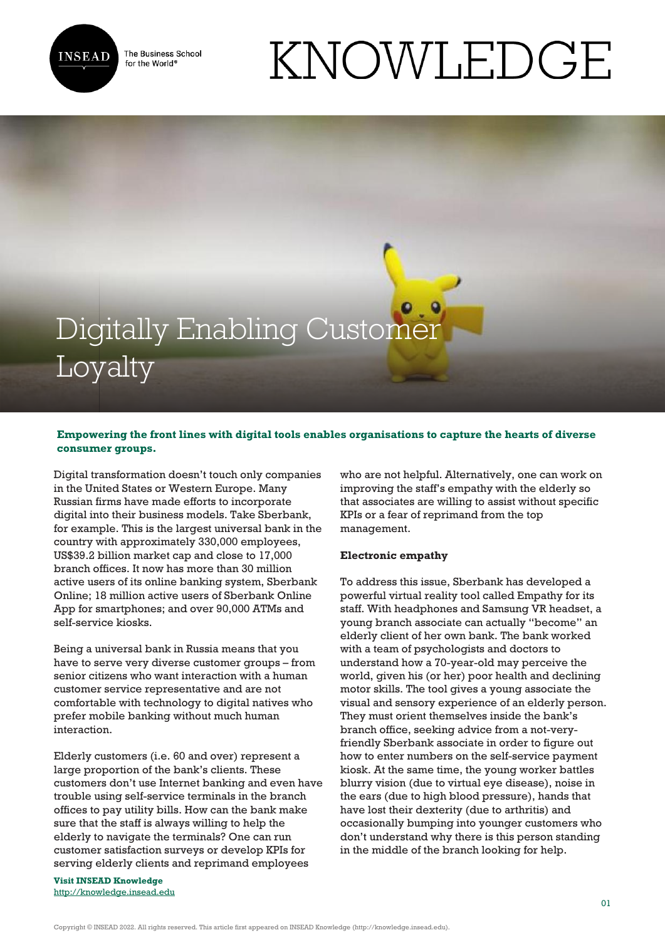

The Business School for the World<sup>®</sup>

# Digitally Enabling Customer

## Loyalty

### **Empowering the front lines with digital tools enables organisations to capture the hearts of diverse consumer groups.**

Digital transformation doesn't touch only companies in the United States or Western Europe. Many Russian firms have made efforts to incorporate digital into their business models. Take Sberbank, for example. This is the largest universal bank in the country with approximately 330,000 employees, US\$39.2 billion market cap and close to 17,000 branch offices. It now has more than 30 million active users of its online banking system, Sberbank Online; 18 million active users of Sberbank Online App for smartphones; and over 90,000 ATMs and self-service kiosks.

Being a universal bank in Russia means that you have to serve very diverse customer groups – from senior citizens who want interaction with a human customer service representative and are not comfortable with technology to digital natives who prefer mobile banking without much human interaction.

Elderly customers (i.e. 60 and over) represent a large proportion of the bank's clients. These customers don't use Internet banking and even have trouble using self-service terminals in the branch offices to pay utility bills. How can the bank make sure that the staff is always willing to help the elderly to navigate the terminals? One can run customer satisfaction surveys or develop KPIs for serving elderly clients and reprimand employees

**Visit INSEAD Knowledge** <http://knowledge.insead.edu> who are not helpful. Alternatively, one can work on improving the staff's empathy with the elderly so that associates are willing to assist without specific KPIs or a fear of reprimand from the top management.

KNOWLEDGE

#### **Electronic empathy**

To address this issue, Sberbank has developed a powerful virtual reality tool called Empathy for its staff. With headphones and Samsung VR headset, a young branch associate can actually "become" an elderly client of her own bank. The bank worked with a team of psychologists and doctors to understand how a 70-year-old may perceive the world, given his (or her) poor health and declining motor skills. The tool gives a young associate the visual and sensory experience of an elderly person. They must orient themselves inside the bank's branch office, seeking advice from a not-veryfriendly Sberbank associate in order to figure out how to enter numbers on the self-service payment kiosk. At the same time, the young worker battles blurry vision (due to virtual eye disease), noise in the ears (due to high blood pressure), hands that have lost their dexterity (due to arthritis) and occasionally bumping into younger customers who don't understand why there is this person standing in the middle of the branch looking for help.

Copyright © INSEAD 2022. All rights reserved. This article first appeared on INSEAD Knowledge (http://knowledge.insead.edu).